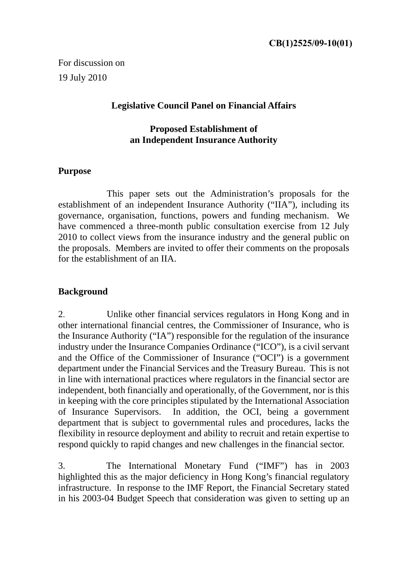For discussion on 19 July 2010

## **Legislative Council Panel on Financial Affairs**

#### **Proposed Establishment of an Independent Insurance Authority**

#### **Purpose**

This paper sets out the Administration's proposals for the establishment of an independent Insurance Authority ("IIA"), including its governance, organisation, functions, powers and funding mechanism. We have commenced a three-month public consultation exercise from 12 July 2010 to collect views from the insurance industry and the general public on the proposals. Members are invited to offer their comments on the proposals for the establishment of an IIA.

#### **Background**

2. Unlike other financial services regulators in Hong Kong and in other international financial centres, the Commissioner of Insurance, who is the Insurance Authority ("IA") responsible for the regulation of the insurance industry under the Insurance Companies Ordinance ("ICO"), is a civil servant and the Office of the Commissioner of Insurance ("OCI") is a government department under the Financial Services and the Treasury Bureau. This is not in line with international practices where regulators in the financial sector are independent, both financially and operationally, of the Government, nor is this in keeping with the core principles stipulated by the International Association of Insurance Supervisors. In addition, the OCI, being a government department that is subject to governmental rules and procedures, lacks the flexibility in resource deployment and ability to recruit and retain expertise to respond quickly to rapid changes and new challenges in the financial sector.

3. The International Monetary Fund ("IMF") has in 2003 highlighted this as the major deficiency in Hong Kong's financial regulatory infrastructure. In response to the IMF Report, the Financial Secretary stated in his 2003-04 Budget Speech that consideration was given to setting up an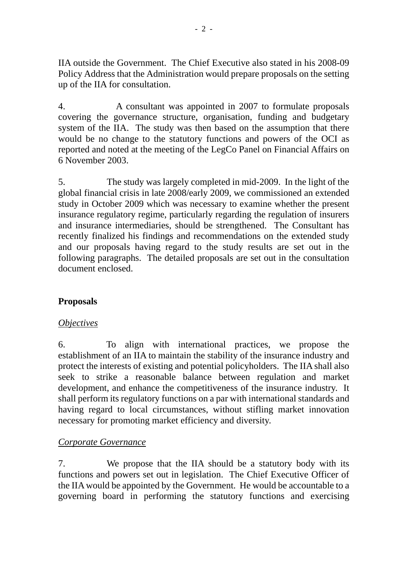IIA outside the Government. The Chief Executive also stated in his 2008-09 Policy Address that the Administration would prepare proposals on the setting up of the IIA for consultation.

4. A consultant was appointed in 2007 to formulate proposals covering the governance structure, organisation, funding and budgetary system of the IIA. The study was then based on the assumption that there would be no change to the statutory functions and powers of the OCI as reported and noted at the meeting of the LegCo Panel on Financial Affairs on 6 November 2003.

5. The study was largely completed in mid-2009. In the light of the global financial crisis in late 2008/early 2009, we commissioned an extended study in October 2009 which was necessary to examine whether the present insurance regulatory regime, particularly regarding the regulation of insurers and insurance intermediaries, should be strengthened. The Consultant has recently finalized his findings and recommendations on the extended study and our proposals having regard to the study results are set out in the following paragraphs. The detailed proposals are set out in the consultation document enclosed.

# **Proposals**

# *Objectives*

6. To align with international practices, we propose the establishment of an IIA to maintain the stability of the insurance industry and protect the interests of existing and potential policyholders. The IIA shall also seek to strike a reasonable balance between regulation and market development, and enhance the competitiveness of the insurance industry. It shall perform its regulatory functions on a par with international standards and having regard to local circumstances, without stifling market innovation necessary for promoting market efficiency and diversity.

# *Corporate Governance*

7. We propose that the IIA should be a statutory body with its functions and powers set out in legislation. The Chief Executive Officer of the IIA would be appointed by the Government. He would be accountable to a governing board in performing the statutory functions and exercising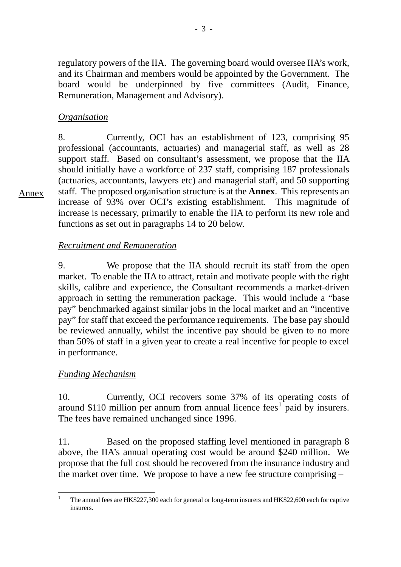regulatory powers of the IIA. The governing board would oversee IIA's work, and its Chairman and members would be appointed by the Government. The board would be underpinned by five committees (Audit, Finance, Remuneration, Management and Advisory).

### *Organisation*

Annex

8. Currently, OCI has an establishment of 123, comprising 95 professional (accountants, actuaries) and managerial staff, as well as 28 support staff. Based on consultant's assessment, we propose that the IIA should initially have a workforce of 237 staff, comprising 187 professionals (actuaries, accountants, lawyers etc) and managerial staff, and 50 supporting staff. The proposed organisation structure is at the **Annex**. This represents an increase of 93% over OCI's existing establishment. This magnitude of increase is necessary, primarily to enable the IIA to perform its new role and functions as set out in paragraphs 14 to 20 below.

## *Recruitment and Remuneration*

9. We propose that the IIA should recruit its staff from the open market. To enable the IIA to attract, retain and motivate people with the right skills, calibre and experience, the Consultant recommends a market-driven approach in setting the remuneration package. This would include a "base pay" benchmarked against similar jobs in the local market and an "incentive pay" for staff that exceed the performance requirements. The base pay should be reviewed annually, whilst the incentive pay should be given to no more than 50% of staff in a given year to create a real incentive for people to excel in performance.

#### *Funding Mechanism*

10. Currently, OCI recovers some 37% of its operating costs of around \$[1](#page-2-0)10 million per annum from annual licence fees<sup>1</sup> paid by insurers. The fees have remained unchanged since 1996.

11. Based on the proposed staffing level mentioned in paragraph 8 above, the IIA's annual operating cost would be around \$240 million. We propose that the full cost should be recovered from the insurance industry and the market over time. We propose to have a new fee structure comprising –

<span id="page-2-0"></span> $\overline{a}$ 1 The annual fees are HK\$227,300 each for general or long-term insurers and HK\$22,600 each for captive insurers.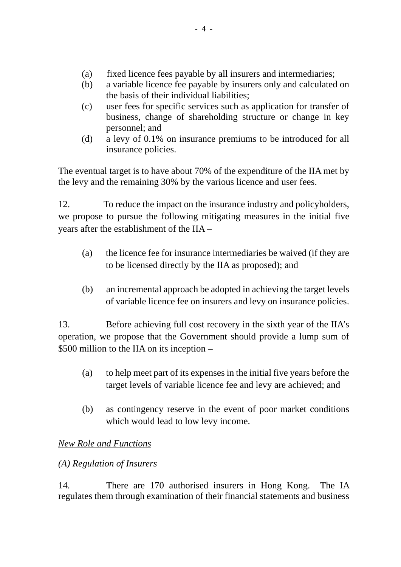- (a) fixed licence fees payable by all insurers and intermediaries;
- (b) a variable licence fee payable by insurers only and calculated on the basis of their individual liabilities;
- (c) user fees for specific services such as application for transfer of business, change of shareholding structure or change in key personnel; and
- (d) a levy of 0.1% on insurance premiums to be introduced for all insurance policies.

The eventual target is to have about 70% of the expenditure of the IIA met by the levy and the remaining 30% by the various licence and user fees.

12. To reduce the impact on the insurance industry and policyholders, we propose to pursue the following mitigating measures in the initial five years after the establishment of the IIA –

- (a) the licence fee for insurance intermediaries be waived (if they are to be licensed directly by the IIA as proposed); and
- (b) an incremental approach be adopted in achieving the target levels of variable licence fee on insurers and levy on insurance policies.

13. Before achieving full cost recovery in the sixth year of the IIA's operation, we propose that the Government should provide a lump sum of \$500 million to the IIA on its inception –

- (a) to help meet part of its expenses in the initial five years before the target levels of variable licence fee and levy are achieved; and
- (b) as contingency reserve in the event of poor market conditions which would lead to low levy income.

# *New Role and Functions*

# *(A) Regulation of Insurers*

14. There are 170 authorised insurers in Hong Kong. The IA regulates them through examination of their financial statements and business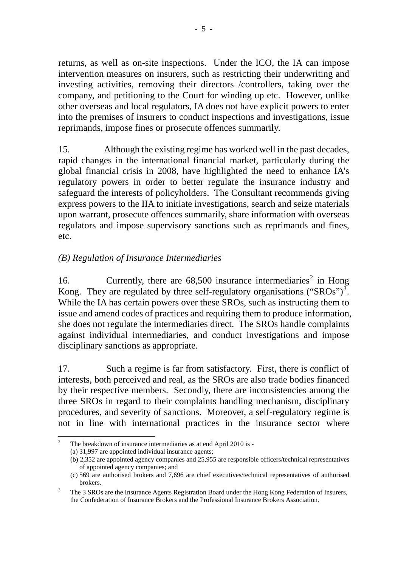returns, as well as on-site inspections. Under the ICO, the IA can impose intervention measures on insurers, such as restricting their underwriting and investing activities, removing their directors /controllers, taking over the company, and petitioning to the Court for winding up etc. However, unlike other overseas and local regulators, IA does not have explicit powers to enter into the premises of insurers to conduct inspections and investigations, issue reprimands, impose fines or prosecute offences summarily.

15. Although the existing regime has worked well in the past decades, rapid changes in the international financial market, particularly during the global financial crisis in 2008, have highlighted the need to enhance IA's regulatory powers in order to better regulate the insurance industry and safeguard the interests of policyholders. The Consultant recommends giving express powers to the IIA to initiate investigations, search and seize materials upon warrant, prosecute offences summarily, share information with overseas regulators and impose supervisory sanctions such as reprimands and fines, etc.

# *(B) Regulation of Insurance Intermediaries*

16. Currently, there are  $68,500$  insurance intermediaries<sup>[2](#page-4-0)</sup> in Hong Kong. They are regulated by three self-regulatory organisations ("SROs")<sup>[3](#page-4-1)</sup>. While the IA has certain powers over these SROs, such as instructing them to issue and amend codes of practices and requiring them to produce information, she does not regulate the intermediaries direct. The SROs handle complaints against individual intermediaries, and conduct investigations and impose disciplinary sanctions as appropriate.

17. Such a regime is far from satisfactory. First, there is conflict of interests, both perceived and real, as the SROs are also trade bodies financed by their respective members. Secondly, there are inconsistencies among the three SROs in regard to their complaints handling mechanism, disciplinary procedures, and severity of sanctions. Moreover, a self-regulatory regime is not in line with international practices in the insurance sector where

<span id="page-4-0"></span> $\overline{a}$ 2 The breakdown of insurance intermediaries as at end April 2010 is -

<sup>(</sup>a) 31,997 are appointed individual insurance agents;

<sup>(</sup>b) 2,352 are appointed agency companies and 25,955 are responsible officers/technical representatives of appointed agency companies; and

<sup>(</sup>c) 569 are authorised brokers and 7,696 are chief executives/technical representatives of authorised brokers.

<span id="page-4-1"></span><sup>3</sup> The 3 SROs are the Insurance Agents Registration Board under the Hong Kong Federation of Insurers, the Confederation of Insurance Brokers and the Professional Insurance Brokers Association.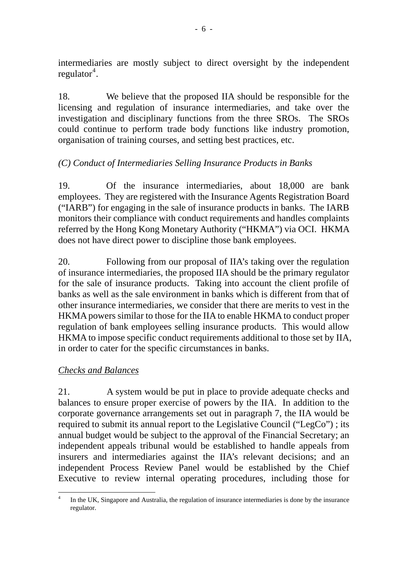intermediaries are mostly subject to direct oversight by the independent  $regular<sup>4</sup>$  $regular<sup>4</sup>$  $regular<sup>4</sup>$ .

18. We believe that the proposed IIA should be responsible for the licensing and regulation of insurance intermediaries, and take over the investigation and disciplinary functions from the three SROs. The SROs could continue to perform trade body functions like industry promotion, organisation of training courses, and setting best practices, etc.

# *(C) Conduct of Intermediaries Selling Insurance Products in Banks*

19. Of the insurance intermediaries, about 18,000 are bank employees. They are registered with the Insurance Agents Registration Board ("IARB") for engaging in the sale of insurance products in banks. The IARB monitors their compliance with conduct requirements and handles complaints referred by the Hong Kong Monetary Authority ("HKMA") via OCI. HKMA does not have direct power to discipline those bank employees.

20. Following from our proposal of IIA's taking over the regulation of insurance intermediaries, the proposed IIA should be the primary regulator for the sale of insurance products. Taking into account the client profile of banks as well as the sale environment in banks which is different from that of other insurance intermediaries, we consider that there are merits to vest in the HKMA powers similar to those for the IIA to enable HKMA to conduct proper regulation of bank employees selling insurance products. This would allow HKMA to impose specific conduct requirements additional to those set by IIA, in order to cater for the specific circumstances in banks.

#### *Checks and Balances*

21. A system would be put in place to provide adequate checks and balances to ensure proper exercise of powers by the IIA. In addition to the corporate governance arrangements set out in paragraph 7, the IIA would be required to submit its annual report to the Legislative Council ("LegCo") ; its annual budget would be subject to the approval of the Financial Secretary; an independent appeals tribunal would be established to handle appeals from insurers and intermediaries against the IIA's relevant decisions; and an independent Process Review Panel would be established by the Chief Executive to review internal operating procedures, including those for

<span id="page-5-0"></span> $\overline{a}$ 4 In the UK, Singapore and Australia, the regulation of insurance intermediaries is done by the insurance regulator.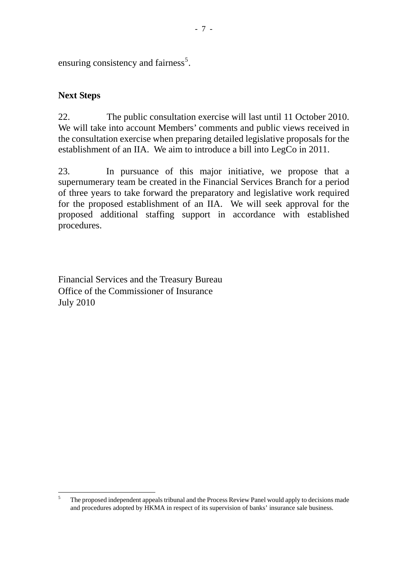ensuring consistency and fairness<sup>[5](#page-6-0)</sup>.

# **Next Steps**

 $\overline{a}$ 

22. The public consultation exercise will last until 11 October 2010. We will take into account Members' comments and public views received in the consultation exercise when preparing detailed legislative proposals for the establishment of an IIA. We aim to introduce a bill into LegCo in 2011.

23. In pursuance of this major initiative, we propose that a supernumerary team be created in the Financial Services Branch for a period of three years to take forward the preparatory and legislative work required for the proposed establishment of an IIA. We will seek approval for the proposed additional staffing support in accordance with established procedures.

Financial Services and the Treasury Bureau Office of the Commissioner of Insurance July 2010

<span id="page-6-0"></span><sup>5</sup> The proposed independent appeals tribunal and the Process Review Panel would apply to decisions made and procedures adopted by HKMA in respect of its supervision of banks' insurance sale business.